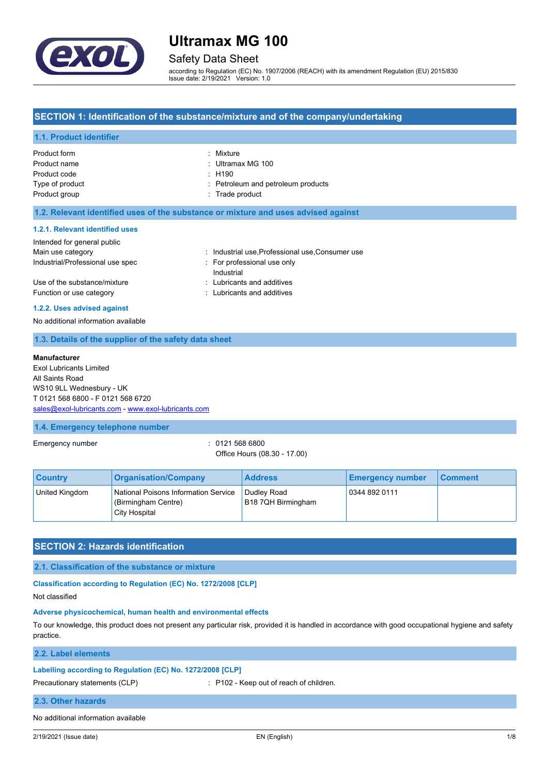

# Safety Data Sheet

according to Regulation (EC) No. 1907/2006 (REACH) with its amendment Regulation (EU) 2015/830 Issue date: 2/19/2021 Version: 1.0

## **SECTION 1: Identification of the substance/mixture and of the company/undertaking**

## **1.1. Product identifier**

| Product form    | : Mixture                          |
|-----------------|------------------------------------|
| Product name    | : Ultramax MG 100                  |
| Product code    | : H190                             |
| Type of product | : Petroleum and petroleum products |
| Product group   | : Trade product                    |
|                 |                                    |

### **1.2. Relevant identified uses of the substance or mixture and uses advised against**

#### **1.2.1. Relevant identified uses**

| Intended for general public      |                                                |
|----------------------------------|------------------------------------------------|
| Main use category                | : Industrial use Professional use Consumer use |
| Industrial/Professional use spec | For professional use only<br>Industrial        |
| Use of the substance/mixture     | : Lubricants and additives                     |
| Function or use category         | : Lubricants and additives                     |

#### **1.2.2. Uses advised against**

No additional information available

## **1.3. Details of the supplier of the safety data sheet**

#### **Manufacturer**

Exol Lubricants Limited All Saints Road WS10 9LL Wednesbury - UK T 0121 568 6800 - F 0121 568 6720 [sales@exol-lubricants.com](mailto:sales@exol-lubricants.com) - <www.exol-lubricants.com>

### **1.4. Emergency telephone number**

Emergency number : 0121 568 6800

Office Hours (08.30 - 17.00)

| <b>Country</b> | <b>Organisation/Company</b>                                                  | <b>Address</b>                    | <b>Emergency number</b> | ∣ Comment |
|----------------|------------------------------------------------------------------------------|-----------------------------------|-------------------------|-----------|
| United Kingdom | National Poisons Information Service<br>(Birmingham Centre)<br>City Hospital | Dudley Road<br>B18 7QH Birmingham | 0344 892 0111           |           |

# **SECTION 2: Hazards identification**

### **2.1. Classification of the substance or mixture**

# **Classification according to Regulation (EC) No. 1272/2008 [CLP]**

Not classified

### **Adverse physicochemical, human health and environmental effects**

To our knowledge, this product does not present any particular risk, provided it is handled in accordance with good occupational hygiene and safety practice.

**2.2. Label elements**

### **Labelling according to Regulation (EC) No. 1272/2008 [CLP]**

Precautionary statements (CLP) : P102 - Keep out of reach of children.

### **2.3. Other hazards**

No additional information available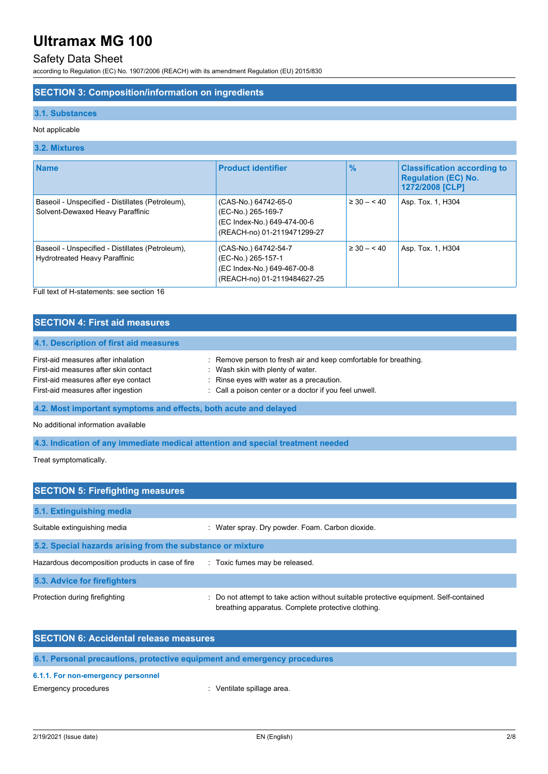# Safety Data Sheet

according to Regulation (EC) No. 1907/2006 (REACH) with its amendment Regulation (EU) 2015/830

## **SECTION 3: Composition/information on ingredients**

## **3.1. Substances**

### Not applicable

### **3.2. Mixtures**

| <b>Name</b>                                                                              | <b>Product identifier</b>                                                                                | $\frac{9}{6}$   | <b>Classification according to</b><br><b>Regulation (EC) No.</b><br>1272/2008 [CLP] |
|------------------------------------------------------------------------------------------|----------------------------------------------------------------------------------------------------------|-----------------|-------------------------------------------------------------------------------------|
| Baseoil - Unspecified - Distillates (Petroleum),<br>Solvent-Dewaxed Heavy Paraffinic     | (CAS-No.) 64742-65-0<br>(EC-No.) 265-169-7<br>(EC Index-No.) 649-474-00-6<br>(REACH-no) 01-2119471299-27 | $\geq 30 - 40$  | Asp. Tox. 1, H304                                                                   |
| Baseoil - Unspecified - Distillates (Petroleum),<br><b>Hydrotreated Heavy Paraffinic</b> | (CAS-No.) 64742-54-7<br>(EC-No.) 265-157-1<br>(EC Index-No.) 649-467-00-8<br>(REACH-no) 01-2119484627-25 | $\geq 30 - 540$ | Asp. Tox. 1, H304                                                                   |

Full text of H-statements: see section 16

# **SECTION 4: First aid measures**

### **4.1. Description of first aid measures**

| First-aid measures after inhalation   | : Remove person to fresh air and keep comfortable for breathing. |
|---------------------------------------|------------------------------------------------------------------|
| First-aid measures after skin contact | Wash skin with plenty of water.                                  |
| First-aid measures after eye contact  | : Rinse eyes with water as a precaution.                         |
| First-aid measures after ingestion    | : Call a poison center or a doctor if you feel unwell.           |

**4.2. Most important symptoms and effects, both acute and delayed**

No additional information available

**4.3. Indication of any immediate medical attention and special treatment needed**

Treat symptomatically.

| <b>SECTION 5: Firefighting measures</b>                    |                                                                                                                                             |  |  |
|------------------------------------------------------------|---------------------------------------------------------------------------------------------------------------------------------------------|--|--|
| 5.1. Extinguishing media                                   |                                                                                                                                             |  |  |
| Suitable extinguishing media                               | : Water spray. Dry powder. Foam. Carbon dioxide.                                                                                            |  |  |
| 5.2. Special hazards arising from the substance or mixture |                                                                                                                                             |  |  |
| Hazardous decomposition products in case of fire           | : Toxic fumes may be released.                                                                                                              |  |  |
| 5.3. Advice for firefighters                               |                                                                                                                                             |  |  |
| Protection during firefighting                             | : Do not attempt to take action without suitable protective equipment. Self-contained<br>breathing apparatus. Complete protective clothing. |  |  |

| <b>SECTION 6: Accidental release measures</b>                            |  |
|--------------------------------------------------------------------------|--|
| 6.1. Personal precautions, protective equipment and emergency procedures |  |

# **6.1.1. For non-emergency personnel**

Emergency procedures **in the contract of the Contract Contract Contract Contract Contract Contract Contract Contract Contract Contract Contract Contract Contract Contract Contract Contract Contract Contract Contract Contra**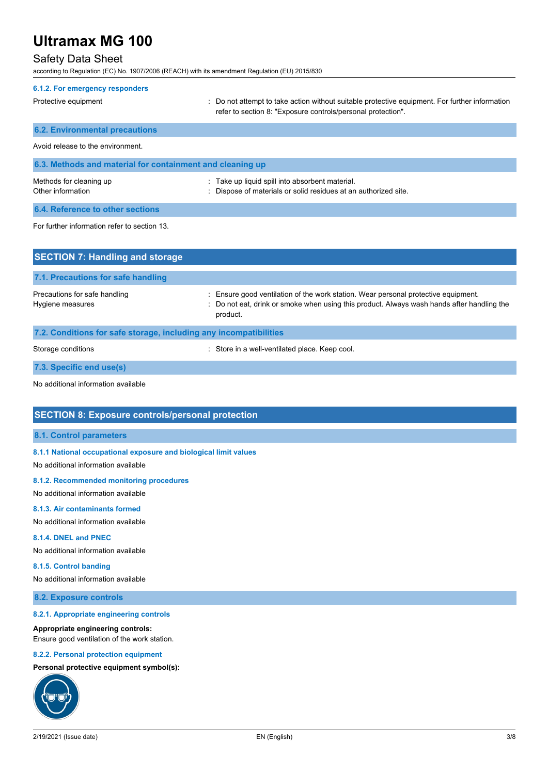# Safety Data Sheet

according to Regulation (EC) No. 1907/2006 (REACH) with its amendment Regulation (EU) 2015/830

| 6.1.2. For emergency responders                           |                                                                                                                                                                |  |  |
|-----------------------------------------------------------|----------------------------------------------------------------------------------------------------------------------------------------------------------------|--|--|
| Protective equipment                                      | : Do not attempt to take action without suitable protective equipment. For further information<br>refer to section 8: "Exposure controls/personal protection". |  |  |
| <b>6.2. Environmental precautions</b>                     |                                                                                                                                                                |  |  |
| Avoid release to the environment                          |                                                                                                                                                                |  |  |
| 6.3. Methods and material for containment and cleaning up |                                                                                                                                                                |  |  |
| Methods for cleaning up<br>Other information              | Take up liquid spill into absorbent material.<br>: Dispose of materials or solid residues at an authorized site.                                               |  |  |
| 6.4. Reference to other sections                          |                                                                                                                                                                |  |  |
| For further information refer to section 13.              |                                                                                                                                                                |  |  |
| <b>SECTION 7: Handling and storage</b>                    |                                                                                                                                                                |  |  |

| 7.1. Precautions for safe handling                |                                                                                                                                                                                            |
|---------------------------------------------------|--------------------------------------------------------------------------------------------------------------------------------------------------------------------------------------------|
| Precautions for safe handling<br>Hygiene measures | Ensure good ventilation of the work station. Wear personal protective equipment.<br>: Do not eat, drink or smoke when using this product. Always wash hands after handling the<br>product. |
|                                                   |                                                                                                                                                                                            |

# **7.2. Conditions for safe storage, including any incompatibilities** Storage conditions **Storage conditions** : Store in a well-ventilated place. Keep cool.

**7.3. Specific end use(s)**

No additional information available

# **SECTION 8: Exposure controls/personal protection**

#### **8.1. Control parameters**

### **8.1.1 National occupational exposure and biological limit values**

No additional information available

### **8.1.2. Recommended monitoring procedures**

No additional information available

### **8.1.3. Air contaminants formed**

No additional information available

### **8.1.4. DNEL and PNEC**

No additional information available

### **8.1.5. Control banding**

No additional information available

### **8.2. Exposure controls**

### **8.2.1. Appropriate engineering controls**

### **Appropriate engineering controls:**

Ensure good ventilation of the work station.

#### **8.2.2. Personal protection equipment**

### **Personal protective equipment symbol(s):**

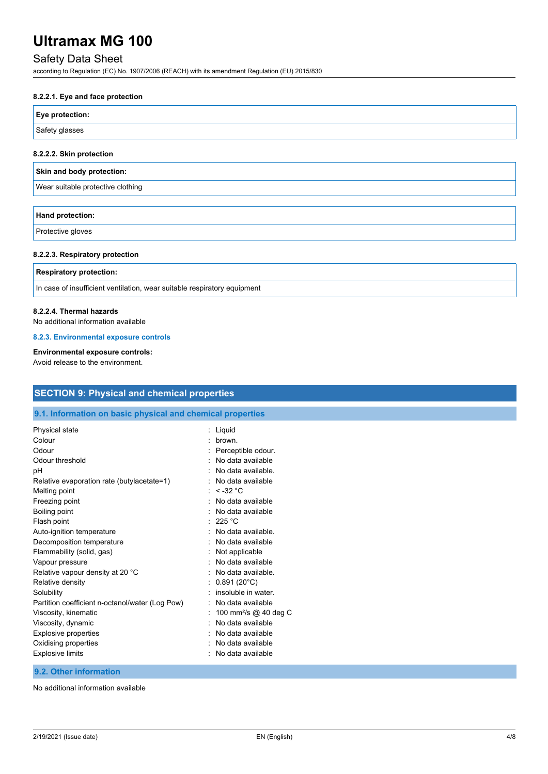# Safety Data Sheet

according to Regulation (EC) No. 1907/2006 (REACH) with its amendment Regulation (EU) 2015/830

### **8.2.2.1. Eye and face protection**

| Eye protection: |  |
|-----------------|--|
| Safety glasses  |  |

### **8.2.2.2. Skin protection**

|  | Skin and body protection: |
|--|---------------------------|
|  |                           |

Wear suitable protective clothing

| Hand protection: |  |  |
|------------------|--|--|
| Decision alergan |  |  |

Protective gloves

#### **8.2.2.3. Respiratory protection**

### **Respiratory protection:**

In case of insufficient ventilation, wear suitable respiratory equipment

### **8.2.2.4. Thermal hazards**

No additional information available

### **8.2.3. Environmental exposure controls**

## **Environmental exposure controls:**

Avoid release to the environment.

| <b>SECTION 9: Physical and chemical properties</b>         |                                                        |  |  |  |
|------------------------------------------------------------|--------------------------------------------------------|--|--|--|
| 9.1. Information on basic physical and chemical properties |                                                        |  |  |  |
| Physical state                                             | : Liquid                                               |  |  |  |
| Colour                                                     | : brown.                                               |  |  |  |
| Odour                                                      | Perceptible odour.                                     |  |  |  |
| Odour threshold                                            | No data available                                      |  |  |  |
| pH                                                         | No data available.                                     |  |  |  |
| Relative evaporation rate (butylacetate=1)                 | No data available                                      |  |  |  |
| Melting point<br>Freezing point                            | : $< -32$ °C<br>No data available<br>No data available |  |  |  |
| Boiling point<br>Flash point<br>Auto-ignition temperature  | $\therefore$ 225 °C<br>No data available.              |  |  |  |
| Decomposition temperature                                  | No data available                                      |  |  |  |
| Flammability (solid, gas)                                  | Not applicable                                         |  |  |  |
| Vapour pressure                                            | No data available                                      |  |  |  |
| Relative vapour density at 20 °C                           | No data available.                                     |  |  |  |
| Relative density                                           | $0.891(20^{\circ}C)$                                   |  |  |  |
| Solubility                                                 | insoluble in water.                                    |  |  |  |
| Partition coefficient n-octanol/water (Log Pow)            | No data available                                      |  |  |  |
| Viscosity, kinematic                                       | 100 mm <sup>2</sup> /s @ 40 deg C                      |  |  |  |
| Viscosity, dynamic                                         | No data available                                      |  |  |  |
| Explosive properties                                       | No data available                                      |  |  |  |
| Oxidising properties                                       | No data available                                      |  |  |  |
| <b>Explosive limits</b>                                    | No data available                                      |  |  |  |

# **9.2. Other information**

No additional information available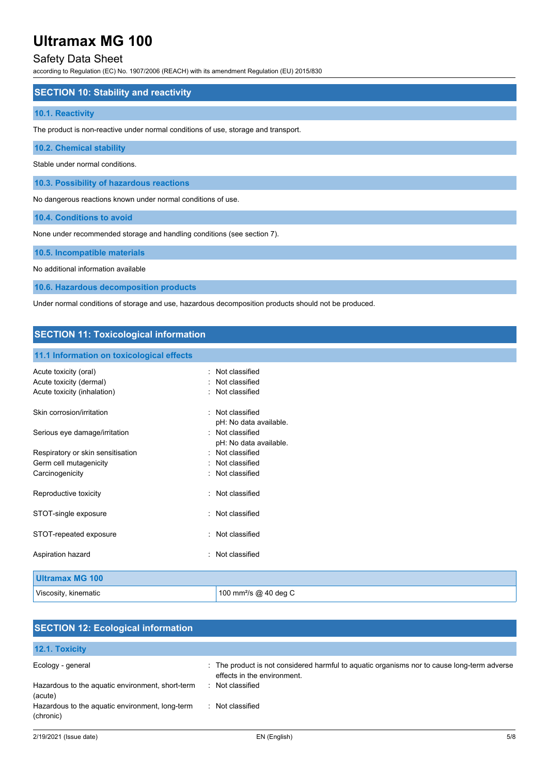# Safety Data Sheet

according to Regulation (EC) No. 1907/2006 (REACH) with its amendment Regulation (EU) 2015/830

### **SECTION 10: Stability and reactivity**

### **10.1. Reactivity**

The product is non-reactive under normal conditions of use, storage and transport.

### **10.2. Chemical stability**

Stable under normal conditions.

**10.3. Possibility of hazardous reactions**

No dangerous reactions known under normal conditions of use.

**10.4. Conditions to avoid**

None under recommended storage and handling conditions (see section 7).

#### **10.5. Incompatible materials**

No additional information available

**10.6. Hazardous decomposition products**

Under normal conditions of storage and use, hazardous decomposition products should not be produced.

## **SECTION 11: Toxicological information**

#### **11.1 Information on toxicological effects**

| Acute toxicity (oral)             | Not classified                    |
|-----------------------------------|-----------------------------------|
| Acute toxicity (dermal)           | : Not classified                  |
| Acute toxicity (inhalation)       | : Not classified                  |
| Skin corrosion/irritation         | Not classified                    |
|                                   | pH: No data available.            |
| Serious eye damage/irritation     | Not classified                    |
|                                   | pH: No data available.            |
| Respiratory or skin sensitisation | · Not classified                  |
| Germ cell mutagenicity            | : Not classified                  |
| Carcinogenicity                   | : Not classified                  |
| Reproductive toxicity             | Not classified                    |
| STOT-single exposure              | Not classified                    |
| STOT-repeated exposure            | : Not classified                  |
| Aspiration hazard                 | : Not classified                  |
| <b>Ultramax MG 100</b>            |                                   |
| Viscosity, kinematic              | 100 mm <sup>2</sup> /s @ 40 deg C |

## **SECTION 12: Ecological information 12.1. Toxicity** Ecology - general states of the product is not considered harmful to aquatic organisms nor to cause long-term adverse effects in the environment. Hazardous to the aquatic environment, short-term (acute) : Not classified Hazardous to the aquatic environment, long-term (chronic) : Not classified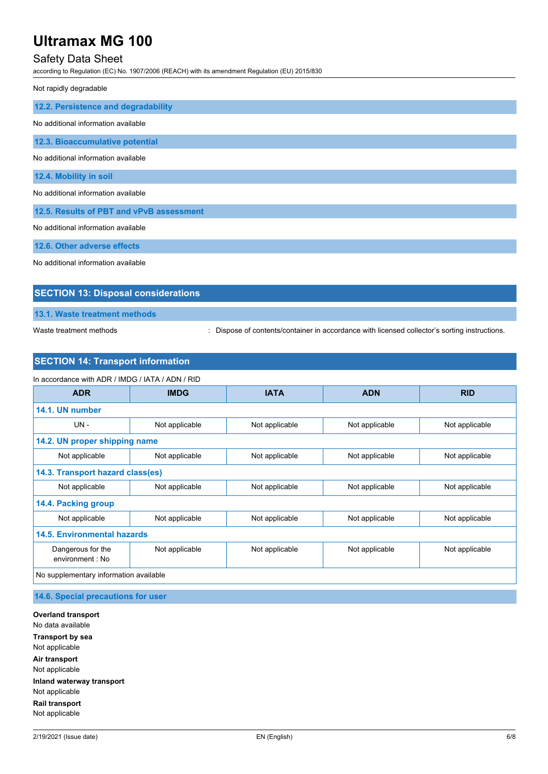# Safety Data Sheet

according to Regulation (EC) No. 1907/2006 (REACH) with its amendment Regulation (EU) 2015/830

Not rapidly degradable

| 12.2. Persistence and degradability      |
|------------------------------------------|
| No additional information available      |
| 12.3. Bioaccumulative potential          |
| No additional information available      |
| 12.4. Mobility in soil                   |
| No additional information available      |
| 12.5. Results of PBT and vPvB assessment |
| No additional information available      |
| 12.6. Other adverse effects              |

No additional information available

## **SECTION 13: Disposal considerations**

**13.1. Waste treatment methods**

Waste treatment methods : Dispose of contents/container in accordance with licensed collector's sorting instructions.

# **SECTION 14: Transport information**

| In accordance with ADR / IMDG / IATA / ADN / RID |                |                |                |                |
|--------------------------------------------------|----------------|----------------|----------------|----------------|
| <b>ADR</b>                                       | <b>IMDG</b>    | <b>IATA</b>    | <b>ADN</b>     | <b>RID</b>     |
| 14.1. UN number                                  |                |                |                |                |
| $UN -$                                           | Not applicable | Not applicable | Not applicable | Not applicable |
| 14.2. UN proper shipping name                    |                |                |                |                |
| Not applicable                                   | Not applicable | Not applicable | Not applicable | Not applicable |
| 14.3. Transport hazard class(es)                 |                |                |                |                |
| Not applicable                                   | Not applicable | Not applicable | Not applicable | Not applicable |
| 14.4. Packing group                              |                |                |                |                |
| Not applicable                                   | Not applicable | Not applicable | Not applicable | Not applicable |
| <b>14.5. Environmental hazards</b>               |                |                |                |                |
| Dangerous for the<br>environment : No            | Not applicable | Not applicable | Not applicable | Not applicable |
| No supplementary information available           |                |                |                |                |

**14.6. Special precautions for user**

**Overland transport** No data available **Transport by sea** Not applicable **Air transport** Not applicable **Inland waterway transport** Not applicable **Rail transport** Not applicable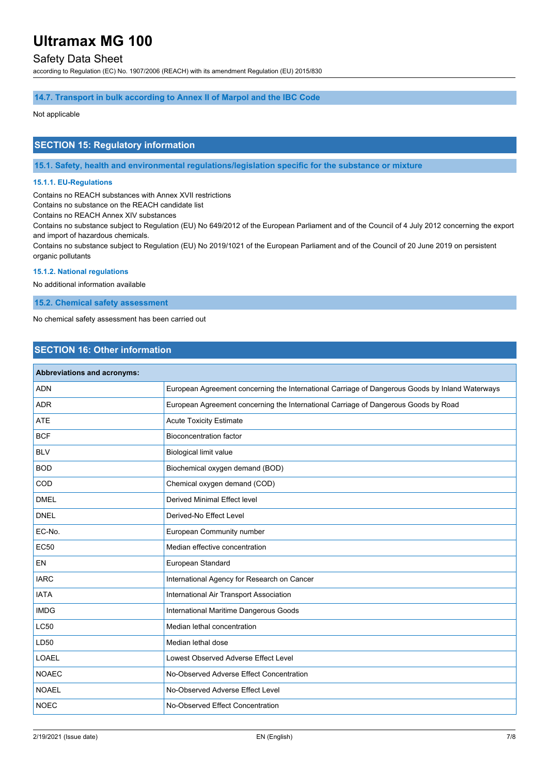# Safety Data Sheet

according to Regulation (EC) No. 1907/2006 (REACH) with its amendment Regulation (EU) 2015/830

### **14.7. Transport in bulk according to Annex II of Marpol and the IBC Code**

# Not applicable

## **SECTION 15: Regulatory information**

**15.1. Safety, health and environmental regulations/legislation specific for the substance or mixture**

### **15.1.1. EU-Regulations**

Contains no REACH substances with Annex XVII restrictions

Contains no substance on the REACH candidate list

Contains no REACH Annex XIV substances

Contains no substance subject to Regulation (EU) No 649/2012 of the European Parliament and of the Council of 4 July 2012 concerning the export and import of hazardous chemicals.

Contains no substance subject to Regulation (EU) No 2019/1021 of the European Parliament and of the Council of 20 June 2019 on persistent organic pollutants

## **15.1.2. National regulations**

No additional information available

**15.2. Chemical safety assessment**

No chemical safety assessment has been carried out

## **SECTION 16: Other information**

| Abbreviations and acronyms: |                                                                                                 |
|-----------------------------|-------------------------------------------------------------------------------------------------|
| <b>ADN</b>                  | European Agreement concerning the International Carriage of Dangerous Goods by Inland Waterways |
| <b>ADR</b>                  | European Agreement concerning the International Carriage of Dangerous Goods by Road             |
| <b>ATE</b>                  | <b>Acute Toxicity Estimate</b>                                                                  |
| <b>BCF</b>                  | <b>Bioconcentration factor</b>                                                                  |
| <b>BLV</b>                  | <b>Biological limit value</b>                                                                   |
| <b>BOD</b>                  | Biochemical oxygen demand (BOD)                                                                 |
| COD                         | Chemical oxygen demand (COD)                                                                    |
| <b>DMEL</b>                 | Derived Minimal Effect level                                                                    |
| <b>DNEL</b>                 | Derived-No Effect Level                                                                         |
| EC-No.                      | European Community number                                                                       |
| <b>EC50</b>                 | Median effective concentration                                                                  |
| <b>EN</b>                   | European Standard                                                                               |
| <b>IARC</b>                 | International Agency for Research on Cancer                                                     |
| <b>IATA</b>                 | International Air Transport Association                                                         |
| <b>IMDG</b>                 | International Maritime Dangerous Goods                                                          |
| <b>LC50</b>                 | Median lethal concentration                                                                     |
| LD50                        | Median lethal dose                                                                              |
| <b>LOAEL</b>                | Lowest Observed Adverse Effect Level                                                            |
| <b>NOAEC</b>                | No-Observed Adverse Effect Concentration                                                        |
| <b>NOAEL</b>                | No-Observed Adverse Effect Level                                                                |
| <b>NOEC</b>                 | No-Observed Effect Concentration                                                                |